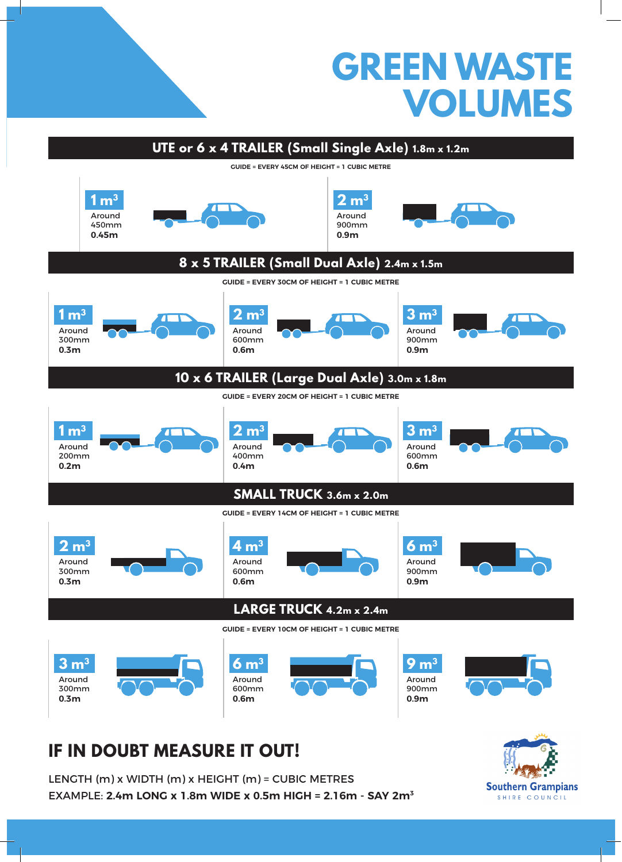



## **IF IN DOUBT MEASURE IT OUT!**

LENGTH (m) x WIDTH (m) x HEIGHT (m) = CUBIC METRES EXAMPLE: **2.4m LONG x 1.8m WIDE x 0.5m HIGH = 2.16m - SAY 2m3**